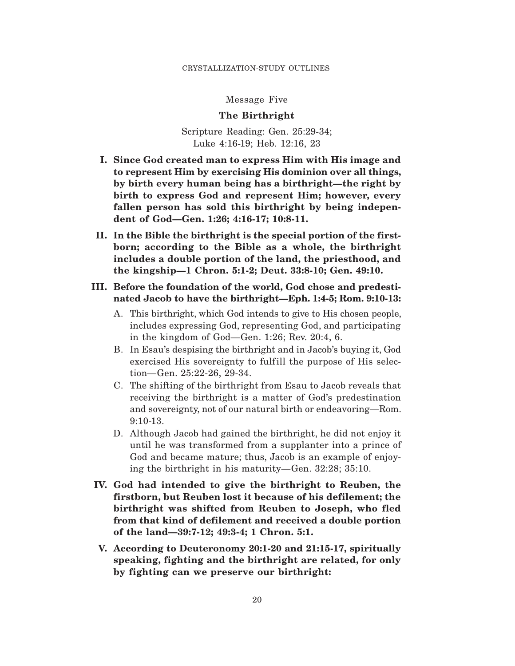Message Five

### **The Birthright**

Scripture Reading: Gen. 25:29-34; Luke 4:16-19; Heb. 12:16, 23

- **I. Since God created man to express Him with His image and to represent Him by exercising His dominion over all things, by birth every human being has a birthright—the right by birth to express God and represent Him; however, every fallen person has sold this birthright by being independent of God—Gen. 1:26; 4:16-17; 10:8-11.**
- **II. In the Bible the birthright is the special portion of the firstborn; according to the Bible as a whole, the birthright includes a double portion of the land, the priesthood, and the kingship—1 Chron. 5:1-2; Deut. 33:8-10; Gen. 49:10.**
- **III. Before the foundation of the world, God chose and predestinated Jacob to have the birthright—Eph. 1:4-5; Rom. 9:10-13:**
	- A. This birthright, which God intends to give to His chosen people, includes expressing God, representing God, and participating in the kingdom of God—Gen. 1:26; Rev. 20:4, 6.
	- B. In Esau's despising the birthright and in Jacob's buying it, God exercised His sovereignty to fulfill the purpose of His selection—Gen. 25:22-26, 29-34.
	- C. The shifting of the birthright from Esau to Jacob reveals that receiving the birthright is a matter of God's predestination and sovereignty, not of our natural birth or endeavoring—Rom. 9:10-13.
	- D. Although Jacob had gained the birthright, he did not enjoy it until he was transformed from a supplanter into a prince of God and became mature; thus, Jacob is an example of enjoying the birthright in his maturity—Gen. 32:28; 35:10.
- **IV. God had intended to give the birthright to Reuben, the firstborn, but Reuben lost it because of his defilement; the birthright was shifted from Reuben to Joseph, who fled from that kind of defilement and received a double portion of the land—39:7-12; 49:3-4; 1 Chron. 5:1.**
- **V. According to Deuteronomy 20:1-20 and 21:15-17, spiritually speaking, fighting and the birthright are related, for only by fighting can we preserve our birthright:**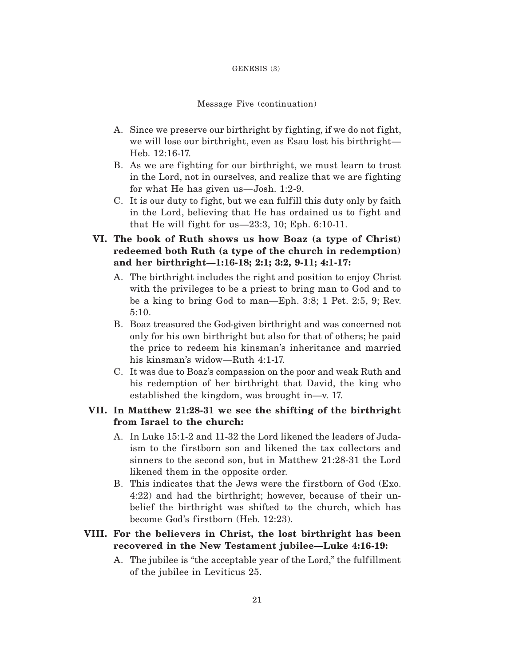#### GENESIS (3)

#### Message Five (continuation)

- A. Since we preserve our birthright by fighting, if we do not fight, we will lose our birthright, even as Esau lost his birthright— Heb. 12:16-17.
- B. As we are fighting for our birthright, we must learn to trust in the Lord, not in ourselves, and realize that we are fighting for what He has given us—Josh. 1:2-9.
- C. It is our duty to fight, but we can fulfill this duty only by faith in the Lord, believing that He has ordained us to fight and that He will fight for us— $23:3$ , 10; Eph. 6:10-11.
- **VI. The book of Ruth shows us how Boaz (a type of Christ) redeemed both Ruth (a type of the church in redemption) and her birthright—1:16-18; 2:1; 3:2, 9-11; 4:1-17:**
	- A. The birthright includes the right and position to enjoy Christ with the privileges to be a priest to bring man to God and to be a king to bring God to man—Eph. 3:8; 1 Pet. 2:5, 9; Rev. 5:10.
	- B. Boaz treasured the God-given birthright and was concerned not only for his own birthright but also for that of others; he paid the price to redeem his kinsman's inheritance and married his kinsman's widow—Ruth 4:1-17.
	- C. It was due to Boaz's compassion on the poor and weak Ruth and his redemption of her birthright that David, the king who established the kingdom, was brought in—v. 17.

# **VII. In Matthew 21:28-31 we see the shifting of the birthright from Israel to the church:**

- A. In Luke 15:1-2 and 11-32 the Lord likened the leaders of Judaism to the firstborn son and likened the tax collectors and sinners to the second son, but in Matthew 21:28-31 the Lord likened them in the opposite order.
- B. This indicates that the Jews were the firstborn of God (Exo. 4:22) and had the birthright; however, because of their unbelief the birthright was shifted to the church, which has become God's firstborn (Heb. 12:23).

# **VIII. For the believers in Christ, the lost birthright has been recovered in the New Testament jubilee—Luke 4:16-19:**

A. The jubilee is "the acceptable year of the Lord," the fulfillment of the jubilee in Leviticus 25.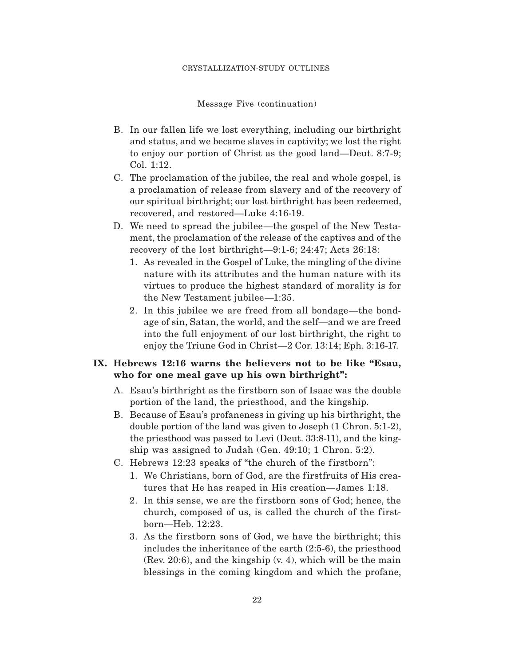#### CRYSTALLIZATION-STUDY OUTLINES

Message Five (continuation)

- B. In our fallen life we lost everything, including our birthright and status, and we became slaves in captivity; we lost the right to enjoy our portion of Christ as the good land—Deut. 8:7-9; Col. 1:12.
- C. The proclamation of the jubilee, the real and whole gospel, is a proclamation of release from slavery and of the recovery of our spiritual birthright; our lost birthright has been redeemed, recovered, and restored—Luke 4:16-19.
- D. We need to spread the jubilee—the gospel of the New Testament, the proclamation of the release of the captives and of the recovery of the lost birthright—9:1-6; 24:47; Acts 26:18:
	- 1. As revealed in the Gospel of Luke, the mingling of the divine nature with its attributes and the human nature with its virtues to produce the highest standard of morality is for the New Testament jubilee—1:35.
	- 2. In this jubilee we are freed from all bondage—the bondage of sin, Satan, the world, and the self—and we are freed into the full enjoyment of our lost birthright, the right to enjoy the Triune God in Christ—2 Cor. 13:14; Eph. 3:16-17.

# **IX. Hebrews 12:16 warns the believers not to be like "Esau, who for one meal gave up his own birthright":**

- A. Esau's birthright as the firstborn son of Isaac was the double portion of the land, the priesthood, and the kingship.
- B. Because of Esau's profaneness in giving up his birthright, the double portion of the land was given to Joseph (1 Chron. 5:1-2), the priesthood was passed to Levi (Deut. 33:8-11), and the kingship was assigned to Judah (Gen. 49:10; 1 Chron. 5:2).
- C. Hebrews 12:23 speaks of "the church of the firstborn":
	- 1. We Christians, born of God, are the firstfruits of His creatures that He has reaped in His creation—James 1:18.
	- 2. In this sense, we are the firstborn sons of God; hence, the church, composed of us, is called the church of the firstborn—Heb. 12:23.
	- 3. As the firstborn sons of God, we have the birthright; this includes the inheritance of the earth (2:5-6), the priesthood (Rev. 20:6), and the kingship (v. 4), which will be the main blessings in the coming kingdom and which the profane,